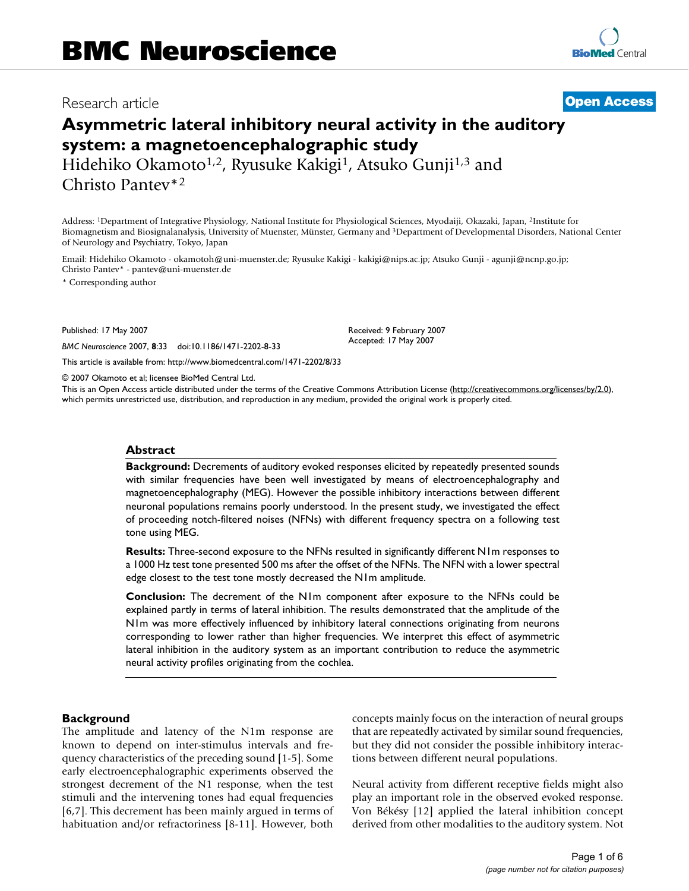# Research article **[Open Access](http://www.biomedcentral.com/info/about/charter/)**

# **Asymmetric lateral inhibitory neural activity in the auditory system: a magnetoencephalographic study**

Hidehiko Okamoto<sup>1,2</sup>, Ryusuke Kakigi<sup>1</sup>, Atsuko Gunji<sup>1,3</sup> and Christo Pantev\*2

Address: 1Department of Integrative Physiology, National Institute for Physiological Sciences, Myodaiji, Okazaki, Japan, 2Institute for Biomagnetism and Biosignalanalysis, University of Muenster, Münster, Germany and 3Department of Developmental Disorders, National Center of Neurology and Psychiatry, Tokyo, Japan

Email: Hidehiko Okamoto - okamotoh@uni-muenster.de; Ryusuke Kakigi - kakigi@nips.ac.jp; Atsuko Gunji - agunji@ncnp.go.jp; Christo Pantev\* - pantev@uni-muenster.de

\* Corresponding author

Published: 17 May 2007

*BMC Neuroscience* 2007, **8**:33 doi:10.1186/1471-2202-8-33

[This article is available from: http://www.biomedcentral.com/1471-2202/8/33](http://www.biomedcentral.com/1471-2202/8/33)

© 2007 Okamoto et al; licensee BioMed Central Ltd.

This is an Open Access article distributed under the terms of the Creative Commons Attribution License [\(http://creativecommons.org/licenses/by/2.0\)](http://creativecommons.org/licenses/by/2.0), which permits unrestricted use, distribution, and reproduction in any medium, provided the original work is properly cited.

Received: 9 February 2007 Accepted: 17 May 2007

#### **Abstract**

**Background:** Decrements of auditory evoked responses elicited by repeatedly presented sounds with similar frequencies have been well investigated by means of electroencephalography and magnetoencephalography (MEG). However the possible inhibitory interactions between different neuronal populations remains poorly understood. In the present study, we investigated the effect of proceeding notch-filtered noises (NFNs) with different frequency spectra on a following test tone using MEG.

**Results:** Three-second exposure to the NFNs resulted in significantly different N1m responses to a 1000 Hz test tone presented 500 ms after the offset of the NFNs. The NFN with a lower spectral edge closest to the test tone mostly decreased the N1m amplitude.

**Conclusion:** The decrement of the N1m component after exposure to the NFNs could be explained partly in terms of lateral inhibition. The results demonstrated that the amplitude of the N1m was more effectively influenced by inhibitory lateral connections originating from neurons corresponding to lower rather than higher frequencies. We interpret this effect of asymmetric lateral inhibition in the auditory system as an important contribution to reduce the asymmetric neural activity profiles originating from the cochlea.

#### **Background**

The amplitude and latency of the N1m response are known to depend on inter-stimulus intervals and frequency characteristics of the preceding sound [1-5]. Some early electroencephalographic experiments observed the strongest decrement of the N1 response, when the test stimuli and the intervening tones had equal frequencies [6,7]. This decrement has been mainly argued in terms of habituation and/or refractoriness [8-11]. However, both concepts mainly focus on the interaction of neural groups that are repeatedly activated by similar sound frequencies, but they did not consider the possible inhibitory interactions between different neural populations.

Neural activity from different receptive fields might also play an important role in the observed evoked response. Von Békésy [12] applied the lateral inhibition concept derived from other modalities to the auditory system. Not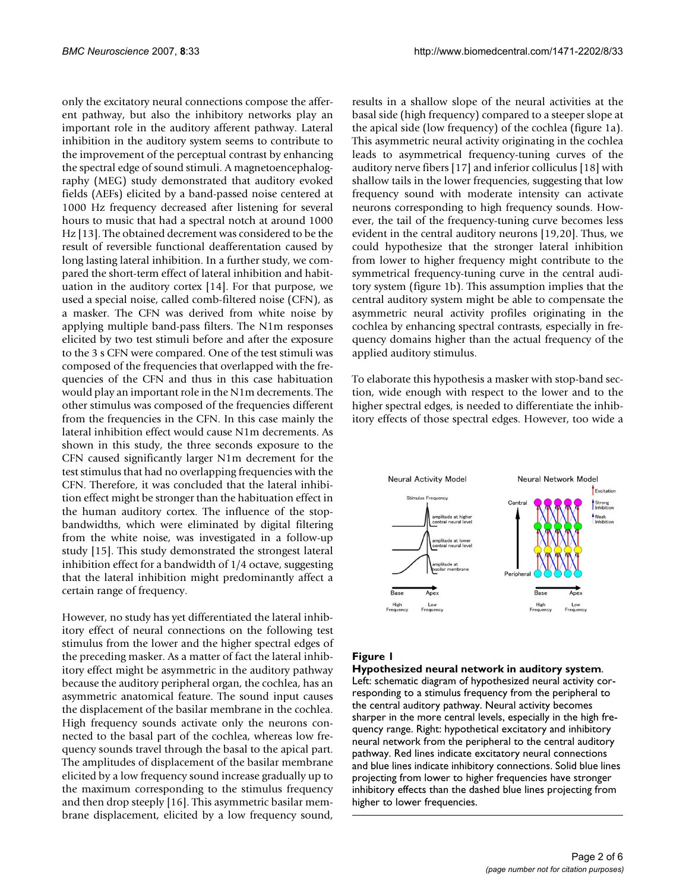only the excitatory neural connections compose the afferent pathway, but also the inhibitory networks play an important role in the auditory afferent pathway. Lateral inhibition in the auditory system seems to contribute to the improvement of the perceptual contrast by enhancing the spectral edge of sound stimuli. A magnetoencephalography (MEG) study demonstrated that auditory evoked fields (AEFs) elicited by a band-passed noise centered at 1000 Hz frequency decreased after listening for several hours to music that had a spectral notch at around 1000 Hz [13]. The obtained decrement was considered to be the result of reversible functional deafferentation caused by long lasting lateral inhibition. In a further study, we compared the short-term effect of lateral inhibition and habituation in the auditory cortex [14]. For that purpose, we used a special noise, called comb-filtered noise (CFN), as a masker. The CFN was derived from white noise by applying multiple band-pass filters. The N1m responses elicited by two test stimuli before and after the exposure to the 3 s CFN were compared. One of the test stimuli was composed of the frequencies that overlapped with the frequencies of the CFN and thus in this case habituation would play an important role in the N1m decrements. The other stimulus was composed of the frequencies different from the frequencies in the CFN. In this case mainly the lateral inhibition effect would cause N1m decrements. As shown in this study, the three seconds exposure to the CFN caused significantly larger N1m decrement for the test stimulus that had no overlapping frequencies with the CFN. Therefore, it was concluded that the lateral inhibition effect might be stronger than the habituation effect in the human auditory cortex. The influence of the stopbandwidths, which were eliminated by digital filtering from the white noise, was investigated in a follow-up study [15]. This study demonstrated the strongest lateral inhibition effect for a bandwidth of 1/4 octave, suggesting that the lateral inhibition might predominantly affect a certain range of frequency.

However, no study has yet differentiated the lateral inhibitory effect of neural connections on the following test stimulus from the lower and the higher spectral edges of the preceding masker. As a matter of fact the lateral inhibitory effect might be asymmetric in the auditory pathway because the auditory peripheral organ, the cochlea, has an asymmetric anatomical feature. The sound input causes the displacement of the basilar membrane in the cochlea. High frequency sounds activate only the neurons connected to the basal part of the cochlea, whereas low frequency sounds travel through the basal to the apical part. The amplitudes of displacement of the basilar membrane elicited by a low frequency sound increase gradually up to the maximum corresponding to the stimulus frequency and then drop steeply [16]. This asymmetric basilar membrane displacement, elicited by a low frequency sound,

results in a shallow slope of the neural activities at the basal side (high frequency) compared to a steeper slope at the apical side (low frequency) of the cochlea (figure 1a). This asymmetric neural activity originating in the cochlea leads to asymmetrical frequency-tuning curves of the auditory nerve fibers [17] and inferior colliculus [18] with shallow tails in the lower frequencies, suggesting that low frequency sound with moderate intensity can activate neurons corresponding to high frequency sounds. However, the tail of the frequency-tuning curve becomes less evident in the central auditory neurons [19,20]. Thus, we could hypothesize that the stronger lateral inhibition from lower to higher frequency might contribute to the symmetrical frequency-tuning curve in the central auditory system (figure 1b). This assumption implies that the central auditory system might be able to compensate the asymmetric neural activity profiles originating in the cochlea by enhancing spectral contrasts, especially in frequency domains higher than the actual frequency of the applied auditory stimulus.

To elaborate this hypothesis a masker with stop-band section, wide enough with respect to the lower and to the higher spectral edges, is needed to differentiate the inhibitory effects of those spectral edges. However, too wide a



## Figure 1

**Hypothesized neural network in auditory system**. Left: schematic diagram of hypothesized neural activity corresponding to a stimulus frequency from the peripheral to the central auditory pathway. Neural activity becomes sharper in the more central levels, especially in the high frequency range. Right: hypothetical excitatory and inhibitory neural network from the peripheral to the central auditory pathway. Red lines indicate excitatory neural connections and blue lines indicate inhibitory connections. Solid blue lines projecting from lower to higher frequencies have stronger inhibitory effects than the dashed blue lines projecting from higher to lower frequencies.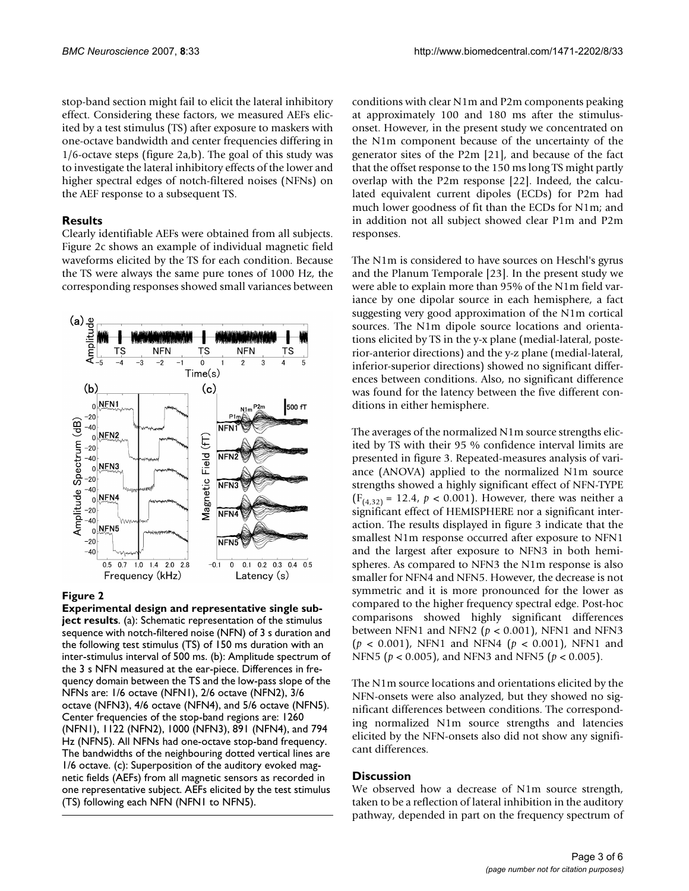stop-band section might fail to elicit the lateral inhibitory effect. Considering these factors, we measured AEFs elicited by a test stimulus (TS) after exposure to maskers with one-octave bandwidth and center frequencies differing in 1/6-octave steps (figure 2a,b). The goal of this study was to investigate the lateral inhibitory effects of the lower and higher spectral edges of notch-filtered noises (NFNs) on the AEF response to a subsequent TS.

## **Results**

Clearly identifiable AEFs were obtained from all subjects. Figure 2c shows an example of individual magnetic field waveforms elicited by the TS for each condition. Because the TS were always the same pure tones of 1000 Hz, the corresponding responses showed small variances between



## **Figure 2**

**Experimental design and representative single subject results**. (a): Schematic representation of the stimulus sequence with notch-filtered noise (NFN) of 3 s duration and the following test stimulus (TS) of 150 ms duration with an inter-stimulus interval of 500 ms. (b): Amplitude spectrum of the 3 s NFN measured at the ear-piece. Differences in frequency domain between the TS and the low-pass slope of the NFNs are: 1/6 octave (NFN1), 2/6 octave (NFN2), 3/6 octave (NFN3), 4/6 octave (NFN4), and 5/6 octave (NFN5). Center frequencies of the stop-band regions are: 1260 (NFN1), 1122 (NFN2), 1000 (NFN3), 891 (NFN4), and 794 Hz (NFN5). All NFNs had one-octave stop-band frequency. The bandwidths of the neighbouring dotted vertical lines are 1/6 octave. (c): Superposition of the auditory evoked magnetic fields (AEFs) from all magnetic sensors as recorded in one representative subject. AEFs elicited by the test stimulus (TS) following each NFN (NFN1 to NFN5).

conditions with clear N1m and P2m components peaking at approximately 100 and 180 ms after the stimulusonset. However, in the present study we concentrated on the N1m component because of the uncertainty of the generator sites of the P2m [21], and because of the fact that the offset response to the 150 ms long TS might partly overlap with the P2m response [22]. Indeed, the calculated equivalent current dipoles (ECDs) for P2m had much lower goodness of fit than the ECDs for N1m; and in addition not all subject showed clear P1m and P2m responses.

The N1m is considered to have sources on Heschl's gyrus and the Planum Temporale [23]. In the present study we were able to explain more than 95% of the N1m field variance by one dipolar source in each hemisphere, a fact suggesting very good approximation of the N1m cortical sources. The N1m dipole source locations and orientations elicited by TS in the y-x plane (medial-lateral, posterior-anterior directions) and the y-z plane (medial-lateral, inferior-superior directions) showed no significant differences between conditions. Also, no significant difference was found for the latency between the five different conditions in either hemisphere.

The averages of the normalized N1m source strengths elicited by TS with their 95 % confidence interval limits are presented in figure 3. Repeated-measures analysis of variance (ANOVA) applied to the normalized N1m source strengths showed a highly significant effect of NFN-TYPE  $(F_{(4,32)} = 12.4, p < 0.001)$ . However, there was neither a significant effect of HEMISPHERE nor a significant interaction. The results displayed in figure 3 indicate that the smallest N1m response occurred after exposure to NFN1 and the largest after exposure to NFN3 in both hemispheres. As compared to NFN3 the N1m response is also smaller for NFN4 and NFN5. However, the decrease is not symmetric and it is more pronounced for the lower as compared to the higher frequency spectral edge. Post-hoc comparisons showed highly significant differences between NFN1 and NFN2 (*p* < 0.001), NFN1 and NFN3 (*p* < 0.001), NFN1 and NFN4 (*p* < 0.001), NFN1 and NFN5 (*p* < 0.005), and NFN3 and NFN5 (*p* < 0.005).

The N1m source locations and orientations elicited by the NFN-onsets were also analyzed, but they showed no significant differences between conditions. The corresponding normalized N1m source strengths and latencies elicited by the NFN-onsets also did not show any significant differences.

## **Discussion**

We observed how a decrease of N1m source strength, taken to be a reflection of lateral inhibition in the auditory pathway, depended in part on the frequency spectrum of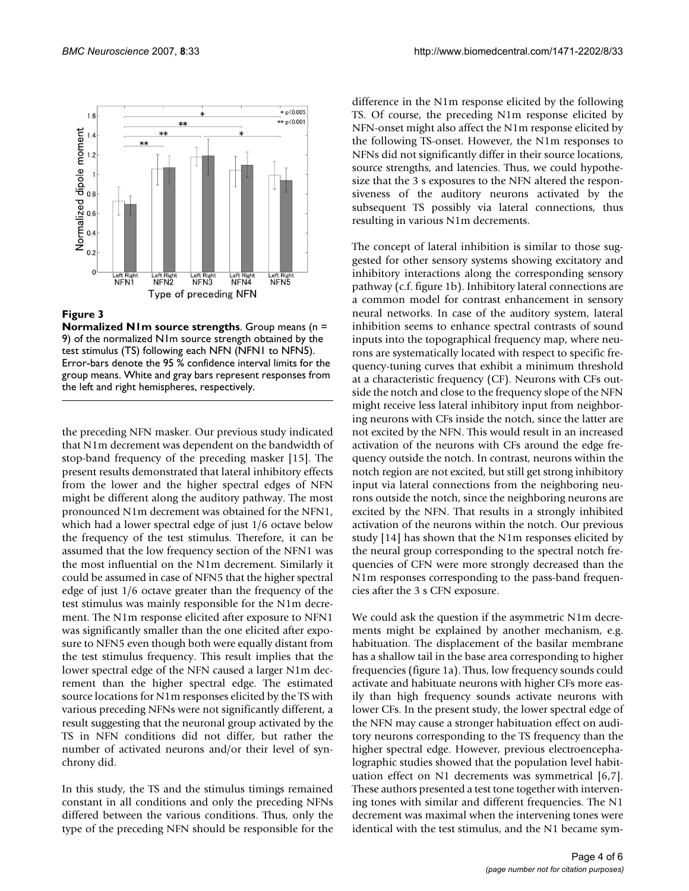

## **Figure 3**

**Normalized N1m source strengths**. Group means (n = 9) of the normalized N1m source strength obtained by the test stimulus (TS) following each NFN (NFN1 to NFN5). Error-bars denote the 95 % confidence interval limits for the group means. White and gray bars represent responses from the left and right hemispheres, respectively.

the preceding NFN masker. Our previous study indicated that N1m decrement was dependent on the bandwidth of stop-band frequency of the preceding masker [15]. The present results demonstrated that lateral inhibitory effects from the lower and the higher spectral edges of NFN might be different along the auditory pathway. The most pronounced N1m decrement was obtained for the NFN1, which had a lower spectral edge of just 1/6 octave below the frequency of the test stimulus. Therefore, it can be assumed that the low frequency section of the NFN1 was the most influential on the N1m decrement. Similarly it could be assumed in case of NFN5 that the higher spectral edge of just 1/6 octave greater than the frequency of the test stimulus was mainly responsible for the N1m decrement. The N1m response elicited after exposure to NFN1 was significantly smaller than the one elicited after exposure to NFN5 even though both were equally distant from the test stimulus frequency. This result implies that the lower spectral edge of the NFN caused a larger N1m decrement than the higher spectral edge. The estimated source locations for N1m responses elicited by the TS with various preceding NFNs were not significantly different, a result suggesting that the neuronal group activated by the TS in NFN conditions did not differ, but rather the number of activated neurons and/or their level of synchrony did.

In this study, the TS and the stimulus timings remained constant in all conditions and only the preceding NFNs differed between the various conditions. Thus, only the type of the preceding NFN should be responsible for the

difference in the N1m response elicited by the following TS. Of course, the preceding N1m response elicited by NFN-onset might also affect the N1m response elicited by the following TS-onset. However, the N1m responses to NFNs did not significantly differ in their source locations, source strengths, and latencies. Thus, we could hypothesize that the 3 s exposures to the NFN altered the responsiveness of the auditory neurons activated by the subsequent TS possibly via lateral connections, thus resulting in various N1m decrements.

The concept of lateral inhibition is similar to those suggested for other sensory systems showing excitatory and inhibitory interactions along the corresponding sensory pathway (c.f. figure 1b). Inhibitory lateral connections are a common model for contrast enhancement in sensory neural networks. In case of the auditory system, lateral inhibition seems to enhance spectral contrasts of sound inputs into the topographical frequency map, where neurons are systematically located with respect to specific frequency-tuning curves that exhibit a minimum threshold at a characteristic frequency (CF). Neurons with CFs outside the notch and close to the frequency slope of the NFN might receive less lateral inhibitory input from neighboring neurons with CFs inside the notch, since the latter are not excited by the NFN. This would result in an increased activation of the neurons with CFs around the edge frequency outside the notch. In contrast, neurons within the notch region are not excited, but still get strong inhibitory input via lateral connections from the neighboring neurons outside the notch, since the neighboring neurons are excited by the NFN. That results in a strongly inhibited activation of the neurons within the notch. Our previous study [14] has shown that the N1m responses elicited by the neural group corresponding to the spectral notch frequencies of CFN were more strongly decreased than the N1m responses corresponding to the pass-band frequencies after the 3 s CFN exposure.

We could ask the question if the asymmetric N1m decrements might be explained by another mechanism, e.g. habituation. The displacement of the basilar membrane has a shallow tail in the base area corresponding to higher frequencies (figure 1a). Thus, low frequency sounds could activate and habituate neurons with higher CFs more easily than high frequency sounds activate neurons with lower CFs. In the present study, the lower spectral edge of the NFN may cause a stronger habituation effect on auditory neurons corresponding to the TS frequency than the higher spectral edge. However, previous electroencephalographic studies showed that the population level habituation effect on N1 decrements was symmetrical [6,7]. These authors presented a test tone together with intervening tones with similar and different frequencies. The N1 decrement was maximal when the intervening tones were identical with the test stimulus, and the N1 became sym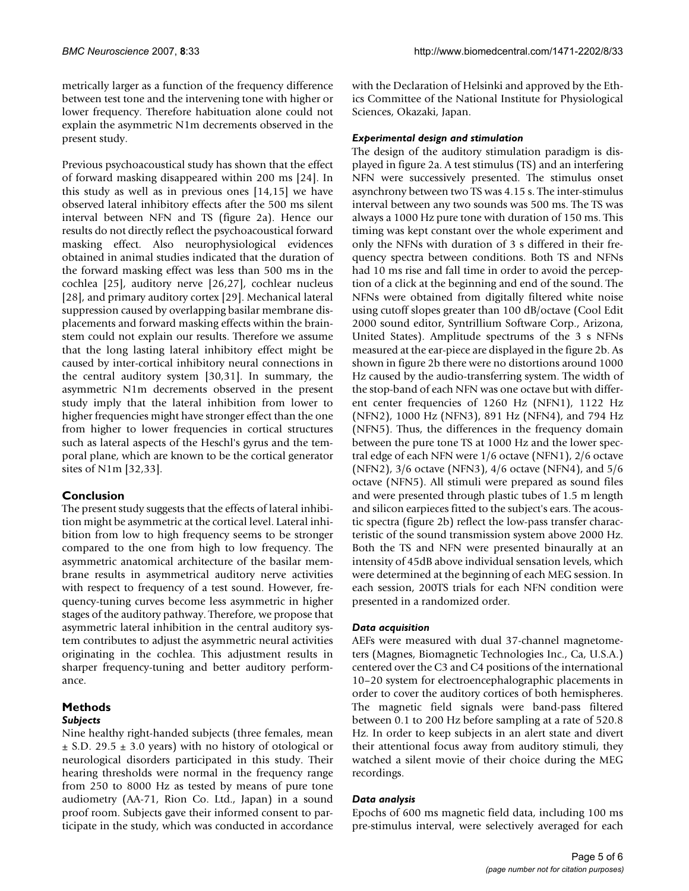metrically larger as a function of the frequency difference between test tone and the intervening tone with higher or lower frequency. Therefore habituation alone could not explain the asymmetric N1m decrements observed in the present study.

Previous psychoacoustical study has shown that the effect of forward masking disappeared within 200 ms [24]. In this study as well as in previous ones [14,15] we have observed lateral inhibitory effects after the 500 ms silent interval between NFN and TS (figure 2a). Hence our results do not directly reflect the psychoacoustical forward masking effect. Also neurophysiological evidences obtained in animal studies indicated that the duration of the forward masking effect was less than 500 ms in the cochlea [25], auditory nerve [26,27], cochlear nucleus [28], and primary auditory cortex [29]. Mechanical lateral suppression caused by overlapping basilar membrane displacements and forward masking effects within the brainstem could not explain our results. Therefore we assume that the long lasting lateral inhibitory effect might be caused by inter-cortical inhibitory neural connections in the central auditory system [30,31]. In summary, the asymmetric N1m decrements observed in the present study imply that the lateral inhibition from lower to higher frequencies might have stronger effect than the one from higher to lower frequencies in cortical structures such as lateral aspects of the Heschl's gyrus and the temporal plane, which are known to be the cortical generator sites of N1m [32,33].

## **Conclusion**

The present study suggests that the effects of lateral inhibition might be asymmetric at the cortical level. Lateral inhibition from low to high frequency seems to be stronger compared to the one from high to low frequency. The asymmetric anatomical architecture of the basilar membrane results in asymmetrical auditory nerve activities with respect to frequency of a test sound. However, frequency-tuning curves become less asymmetric in higher stages of the auditory pathway. Therefore, we propose that asymmetric lateral inhibition in the central auditory system contributes to adjust the asymmetric neural activities originating in the cochlea. This adjustment results in sharper frequency-tuning and better auditory performance.

## **Methods**

## *Subjects*

Nine healthy right-handed subjects (three females, mean  $\pm$  S.D. 29.5  $\pm$  3.0 years) with no history of otological or neurological disorders participated in this study. Their hearing thresholds were normal in the frequency range from 250 to 8000 Hz as tested by means of pure tone audiometry (AA-71, Rion Co. Ltd., Japan) in a sound proof room. Subjects gave their informed consent to participate in the study, which was conducted in accordance with the Declaration of Helsinki and approved by the Ethics Committee of the National Institute for Physiological Sciences, Okazaki, Japan.

## *Experimental design and stimulation*

The design of the auditory stimulation paradigm is displayed in figure 2a. A test stimulus (TS) and an interfering NFN were successively presented. The stimulus onset asynchrony between two TS was 4.15 s. The inter-stimulus interval between any two sounds was 500 ms. The TS was always a 1000 Hz pure tone with duration of 150 ms. This timing was kept constant over the whole experiment and only the NFNs with duration of 3 s differed in their frequency spectra between conditions. Both TS and NFNs had 10 ms rise and fall time in order to avoid the perception of a click at the beginning and end of the sound. The NFNs were obtained from digitally filtered white noise using cutoff slopes greater than 100 dB/octave (Cool Edit 2000 sound editor, Syntrillium Software Corp., Arizona, United States). Amplitude spectrums of the 3 s NFNs measured at the ear-piece are displayed in the figure 2b. As shown in figure 2b there were no distortions around 1000 Hz caused by the audio-transferring system. The width of the stop-band of each NFN was one octave but with different center frequencies of 1260 Hz (NFN1), 1122 Hz (NFN2), 1000 Hz (NFN3), 891 Hz (NFN4), and 794 Hz (NFN5). Thus, the differences in the frequency domain between the pure tone TS at 1000 Hz and the lower spectral edge of each NFN were 1/6 octave (NFN1), 2/6 octave (NFN2), 3/6 octave (NFN3), 4/6 octave (NFN4), and 5/6 octave (NFN5). All stimuli were prepared as sound files and were presented through plastic tubes of 1.5 m length and silicon earpieces fitted to the subject's ears. The acoustic spectra (figure 2b) reflect the low-pass transfer characteristic of the sound transmission system above 2000 Hz. Both the TS and NFN were presented binaurally at an intensity of 45dB above individual sensation levels, which were determined at the beginning of each MEG session. In each session, 200TS trials for each NFN condition were presented in a randomized order.

## *Data acquisition*

AEFs were measured with dual 37-channel magnetometers (Magnes, Biomagnetic Technologies Inc., Ca, U.S.A.) centered over the C3 and C4 positions of the international 10–20 system for electroencephalographic placements in order to cover the auditory cortices of both hemispheres. The magnetic field signals were band-pass filtered between 0.1 to 200 Hz before sampling at a rate of 520.8 Hz. In order to keep subjects in an alert state and divert their attentional focus away from auditory stimuli, they watched a silent movie of their choice during the MEG recordings.

## *Data analysis*

Epochs of 600 ms magnetic field data, including 100 ms pre-stimulus interval, were selectively averaged for each